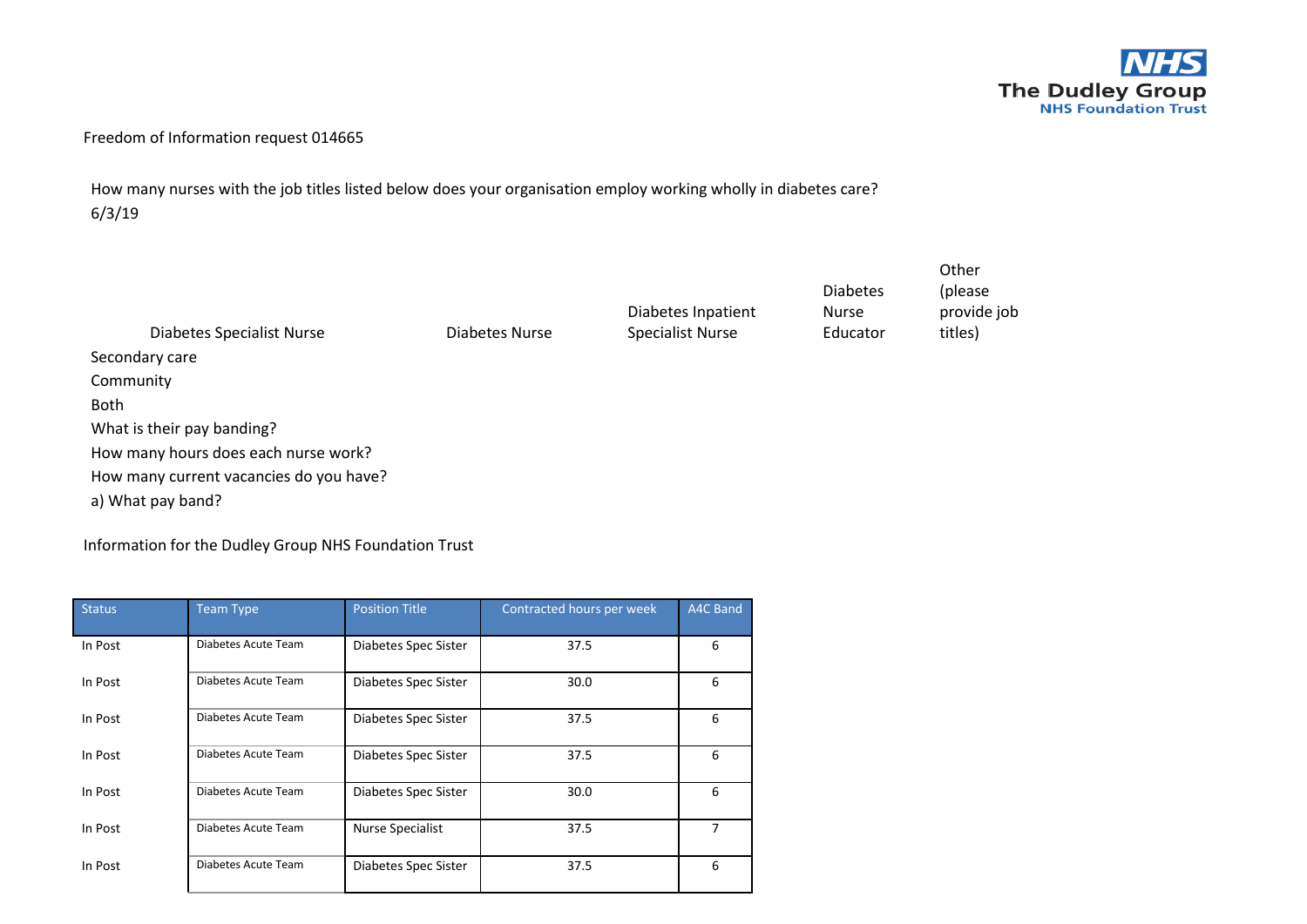

## Freedom of Information request 014665

How many nurses with the job titles listed below does your organisation employ working wholly in diabetes care? 6/3/19

| Diabetes Specialist Nurse               | Diabetes Nurse | Diabetes Inpatient<br><b>Specialist Nurse</b> | <b>Diabetes</b><br><b>Nurse</b><br>Educator | Other<br>(please<br>provide job<br>titles) |
|-----------------------------------------|----------------|-----------------------------------------------|---------------------------------------------|--------------------------------------------|
| Secondary care                          |                |                                               |                                             |                                            |
| Community                               |                |                                               |                                             |                                            |
| <b>Both</b>                             |                |                                               |                                             |                                            |
| What is their pay banding?              |                |                                               |                                             |                                            |
| How many hours does each nurse work?    |                |                                               |                                             |                                            |
| How many current vacancies do you have? |                |                                               |                                             |                                            |
| a) What pay band?                       |                |                                               |                                             |                                            |

Information for the Dudley Group NHS Foundation Trust

| <b>Status</b> | <b>Team Type</b>    | <b>Position Title</b>   | Contracted hours per week | A4C Band |
|---------------|---------------------|-------------------------|---------------------------|----------|
| In Post       | Diabetes Acute Team | Diabetes Spec Sister    | 37.5                      | 6        |
| In Post       | Diabetes Acute Team | Diabetes Spec Sister    | 30.0                      | 6        |
| In Post       | Diabetes Acute Team | Diabetes Spec Sister    | 37.5                      | 6        |
| In Post       | Diabetes Acute Team | Diabetes Spec Sister    | 37.5                      | 6        |
| In Post       | Diabetes Acute Team | Diabetes Spec Sister    | 30.0                      | 6        |
| In Post       | Diabetes Acute Team | <b>Nurse Specialist</b> | 37.5                      | 7        |
| In Post       | Diabetes Acute Team | Diabetes Spec Sister    | 37.5                      | 6        |